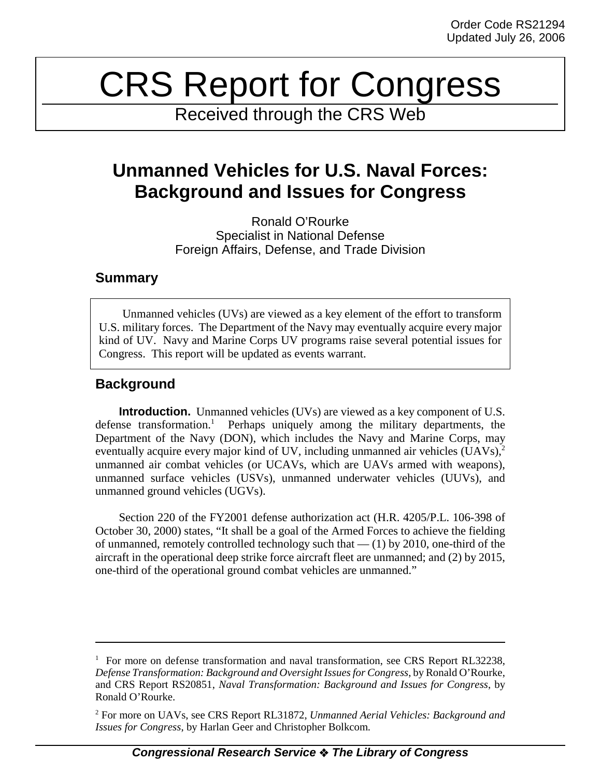# CRS Report for Congress

Received through the CRS Web

## **Unmanned Vehicles for U.S. Naval Forces: Background and Issues for Congress**

Ronald O'Rourke Specialist in National Defense Foreign Affairs, Defense, and Trade Division

### **Summary**

Unmanned vehicles (UVs) are viewed as a key element of the effort to transform U.S. military forces. The Department of the Navy may eventually acquire every major kind of UV. Navy and Marine Corps UV programs raise several potential issues for Congress. This report will be updated as events warrant.

## **Background**

**Introduction.** Unmanned vehicles (UVs) are viewed as a key component of U.S. defense transformation.<sup>1</sup> Perhaps uniquely among the military departments, the Department of the Navy (DON), which includes the Navy and Marine Corps, may eventually acquire every major kind of UV, including unmanned air vehicles  $(UAVs)<sup>2</sup>$ unmanned air combat vehicles (or UCAVs, which are UAVs armed with weapons), unmanned surface vehicles (USVs), unmanned underwater vehicles (UUVs), and unmanned ground vehicles (UGVs).

Section 220 of the FY2001 defense authorization act (H.R. 4205/P.L. 106-398 of October 30, 2000) states, "It shall be a goal of the Armed Forces to achieve the fielding of unmanned, remotely controlled technology such that  $-$  (1) by 2010, one-third of the aircraft in the operational deep strike force aircraft fleet are unmanned; and (2) by 2015, one-third of the operational ground combat vehicles are unmanned."

<sup>&</sup>lt;sup>1</sup> For more on defense transformation and naval transformation, see CRS Report RL32238, *Defense Transformation: Background and Oversight Issues for Congress*, by Ronald O'Rourke, and CRS Report RS20851, *Naval Transformation: Background and Issues for Congress*, by Ronald O'Rourke.

<sup>2</sup> For more on UAVs, see CRS Report RL31872, *Unmanned Aerial Vehicles: Background and Issues for Congress*, by Harlan Geer and Christopher Bolkcom.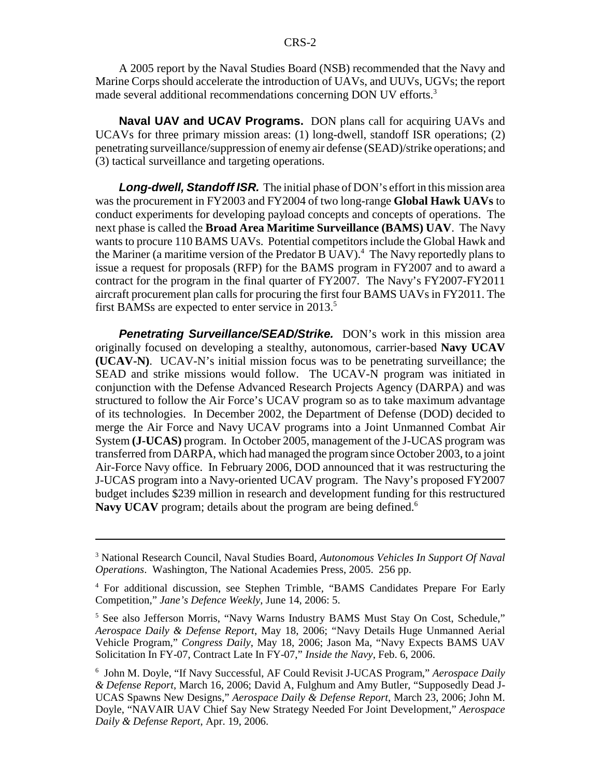A 2005 report by the Naval Studies Board (NSB) recommended that the Navy and Marine Corps should accelerate the introduction of UAVs, and UUVs, UGVs; the report made several additional recommendations concerning DON UV efforts.<sup>3</sup>

**Naval UAV and UCAV Programs.** DON plans call for acquiring UAVs and UCAVs for three primary mission areas: (1) long-dwell, standoff ISR operations; (2) penetrating surveillance/suppression of enemy air defense (SEAD)/strike operations; and (3) tactical surveillance and targeting operations.

*Long-dwell, Standoff ISR.* The initial phase of DON's effort in this mission area was the procurement in FY2003 and FY2004 of two long-range **Global Hawk UAVs** to conduct experiments for developing payload concepts and concepts of operations. The next phase is called the **Broad Area Maritime Surveillance (BAMS) UAV**. The Navy wants to procure 110 BAMS UAVs. Potential competitors include the Global Hawk and the Mariner (a maritime version of the Predator B UAV).<sup>4</sup> The Navy reportedly plans to issue a request for proposals (RFP) for the BAMS program in FY2007 and to award a contract for the program in the final quarter of FY2007. The Navy's FY2007-FY2011 aircraft procurement plan calls for procuring the first four BAMS UAVs in FY2011. The first BAMSs are expected to enter service in  $2013$ <sup>5</sup>

**Penetrating Surveillance/SEAD/Strike.** DON's work in this mission area originally focused on developing a stealthy, autonomous, carrier-based **Navy UCAV (UCAV-N)**. UCAV-N's initial mission focus was to be penetrating surveillance; the SEAD and strike missions would follow. The UCAV-N program was initiated in conjunction with the Defense Advanced Research Projects Agency (DARPA) and was structured to follow the Air Force's UCAV program so as to take maximum advantage of its technologies. In December 2002, the Department of Defense (DOD) decided to merge the Air Force and Navy UCAV programs into a Joint Unmanned Combat Air System **(J-UCAS)** program. In October 2005, management of the J-UCAS program was transferred from DARPA, which had managed the program since October 2003, to a joint Air-Force Navy office. In February 2006, DOD announced that it was restructuring the J-UCAS program into a Navy-oriented UCAV program. The Navy's proposed FY2007 budget includes \$239 million in research and development funding for this restructured Navy UCAV program; details about the program are being defined.<sup>6</sup>

<sup>3</sup> National Research Council, Naval Studies Board, *Autonomous Vehicles In Support Of Naval Operations*. Washington, The National Academies Press, 2005. 256 pp.

<sup>4</sup> For additional discussion, see Stephen Trimble, "BAMS Candidates Prepare For Early Competition," *Jane's Defence Weekly*, June 14, 2006: 5.

<sup>&</sup>lt;sup>5</sup> See also Jefferson Morris, "Navy Warns Industry BAMS Must Stay On Cost, Schedule," *Aerospace Daily & Defense Report*, May 18, 2006; "Navy Details Huge Unmanned Aerial Vehicle Program," *Congress Daily*, May 18, 2006; Jason Ma, "Navy Expects BAMS UAV Solicitation In FY-07, Contract Late In FY-07," *Inside the Navy*, Feb. 6, 2006.

<sup>6</sup> John M. Doyle, "If Navy Successful, AF Could Revisit J-UCAS Program," *Aerospace Daily & Defense Report*, March 16, 2006; David A, Fulghum and Amy Butler, "Supposedly Dead J-UCAS Spawns New Designs," *Aerospace Daily & Defense Report*, March 23, 2006; John M. Doyle, "NAVAIR UAV Chief Say New Strategy Needed For Joint Development," *Aerospace Daily & Defense Report*, Apr. 19, 2006.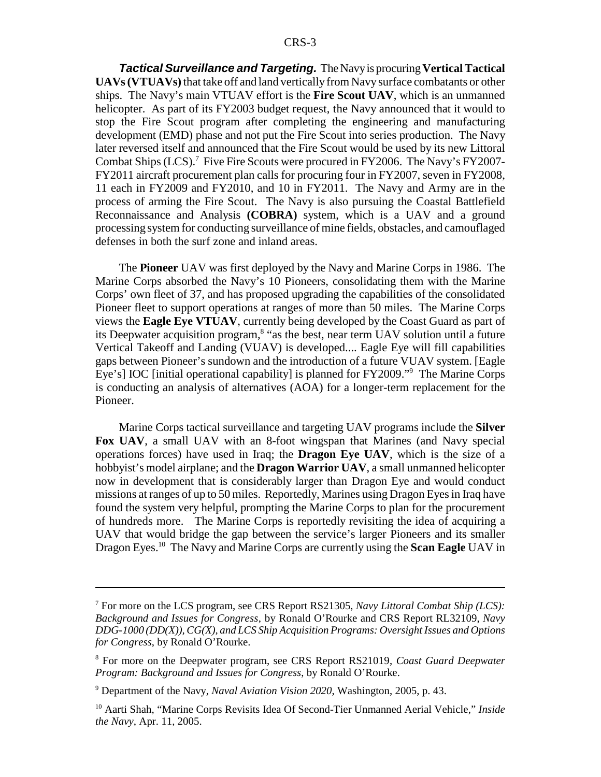*Tactical Surveillance and Targeting.* The Navy is procuring **Vertical Tactical UAVs (VTUAVs)** that take off and land vertically from Navy surface combatants or other ships. The Navy's main VTUAV effort is the **Fire Scout UAV**, which is an unmanned helicopter. As part of its FY2003 budget request, the Navy announced that it would to stop the Fire Scout program after completing the engineering and manufacturing development (EMD) phase and not put the Fire Scout into series production. The Navy later reversed itself and announced that the Fire Scout would be used by its new Littoral Combat Ships (LCS).<sup>7</sup> Five Fire Scouts were procured in FY2006. The Navy's FY2007-FY2011 aircraft procurement plan calls for procuring four in FY2007, seven in FY2008, 11 each in FY2009 and FY2010, and 10 in FY2011. The Navy and Army are in the process of arming the Fire Scout. The Navy is also pursuing the Coastal Battlefield Reconnaissance and Analysis **(COBRA)** system, which is a UAV and a ground processing system for conducting surveillance of mine fields, obstacles, and camouflaged defenses in both the surf zone and inland areas.

The **Pioneer** UAV was first deployed by the Navy and Marine Corps in 1986. The Marine Corps absorbed the Navy's 10 Pioneers, consolidating them with the Marine Corps' own fleet of 37, and has proposed upgrading the capabilities of the consolidated Pioneer fleet to support operations at ranges of more than 50 miles. The Marine Corps views the **Eagle Eye VTUAV**, currently being developed by the Coast Guard as part of its Deepwater acquisition program,<sup>8</sup> "as the best, near term UAV solution until a future Vertical Takeoff and Landing (VUAV) is developed.... Eagle Eye will fill capabilities gaps between Pioneer's sundown and the introduction of a future VUAV system. [Eagle Eye's] IOC [initial operational capability] is planned for FY2009."9 The Marine Corps is conducting an analysis of alternatives (AOA) for a longer-term replacement for the Pioneer.

Marine Corps tactical surveillance and targeting UAV programs include the **Silver Fox UAV**, a small UAV with an 8-foot wingspan that Marines (and Navy special operations forces) have used in Iraq; the **Dragon Eye UAV**, which is the size of a hobbyist's model airplane; and the **Dragon Warrior UAV**, a small unmanned helicopter now in development that is considerably larger than Dragon Eye and would conduct missions at ranges of up to 50 miles. Reportedly, Marines using Dragon Eyes in Iraq have found the system very helpful, prompting the Marine Corps to plan for the procurement of hundreds more. The Marine Corps is reportedly revisiting the idea of acquiring a UAV that would bridge the gap between the service's larger Pioneers and its smaller Dragon Eyes.10 The Navy and Marine Corps are currently using the **Scan Eagle** UAV in

<sup>7</sup> For more on the LCS program, see CRS Report RS21305, *Navy Littoral Combat Ship (LCS): Background and Issues for Congress*, by Ronald O'Rourke and CRS Report RL32109, *Navy DDG-1000 (DD(X)), CG(X), and LCS Ship Acquisition Programs: Oversight Issues and Options for Congress*, by Ronald O'Rourke.

<sup>8</sup> For more on the Deepwater program, see CRS Report RS21019, *Coast Guard Deepwater Program: Background and Issues for Congress*, by Ronald O'Rourke.

<sup>9</sup> Department of the Navy, *Naval Aviation Vision 2020*, Washington, 2005, p. 43.

<sup>10</sup> Aarti Shah, "Marine Corps Revisits Idea Of Second-Tier Unmanned Aerial Vehicle," *Inside the Navy*, Apr. 11, 2005.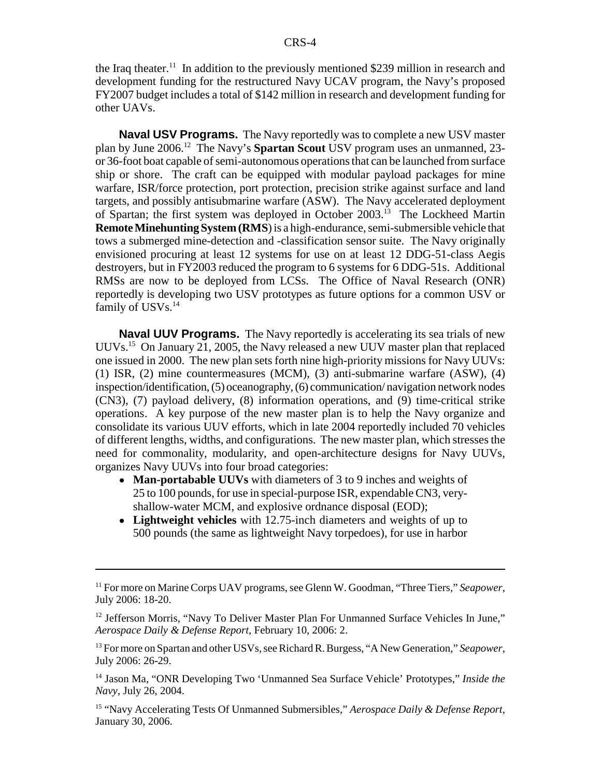the Iraq theater.<sup>11</sup> In addition to the previously mentioned \$239 million in research and development funding for the restructured Navy UCAV program, the Navy's proposed FY2007 budget includes a total of \$142 million in research and development funding for other UAVs.

**Naval USV Programs.** The Navy reportedly was to complete a new USV master plan by June 2006.12 The Navy's **Spartan Scout** USV program uses an unmanned, 23 or 36-foot boat capable of semi-autonomous operations that can be launched from surface ship or shore. The craft can be equipped with modular payload packages for mine warfare, ISR/force protection, port protection, precision strike against surface and land targets, and possibly antisubmarine warfare (ASW). The Navy accelerated deployment of Spartan; the first system was deployed in October 2003.13 The Lockheed Martin **Remote Minehunting System (RMS**) is a high-endurance, semi-submersible vehicle that tows a submerged mine-detection and -classification sensor suite. The Navy originally envisioned procuring at least 12 systems for use on at least 12 DDG-51-class Aegis destroyers, but in FY2003 reduced the program to 6 systems for 6 DDG-51s. Additional RMSs are now to be deployed from LCSs. The Office of Naval Research (ONR) reportedly is developing two USV prototypes as future options for a common USV or family of USVs.<sup>14</sup>

**Naval UUV Programs.** The Navy reportedly is accelerating its sea trials of new UUVs.15 On January 21, 2005, the Navy released a new UUV master plan that replaced one issued in 2000. The new plan sets forth nine high-priority missions for Navy UUVs: (1) ISR, (2) mine countermeasures (MCM), (3) anti-submarine warfare (ASW), (4) inspection/identification, (5) oceanography, (6) communication/ navigation network nodes (CN3), (7) payload delivery, (8) information operations, and (9) time-critical strike operations. A key purpose of the new master plan is to help the Navy organize and consolidate its various UUV efforts, which in late 2004 reportedly included 70 vehicles of different lengths, widths, and configurations. The new master plan, which stresses the need for commonality, modularity, and open-architecture designs for Navy UUVs, organizes Navy UUVs into four broad categories:

- **Man-portabable UUVs** with diameters of 3 to 9 inches and weights of 25 to 100 pounds, for use in special-purpose ISR, expendable CN3, veryshallow-water MCM, and explosive ordnance disposal (EOD);
- ! **Lightweight vehicles** with 12.75-inch diameters and weights of up to 500 pounds (the same as lightweight Navy torpedoes), for use in harbor

13 For more on Spartan and other USVs, see Richard R. Burgess, "A New Generation," *Seapower*, July 2006: 26-29.

14 Jason Ma, "ONR Developing Two 'Unmanned Sea Surface Vehicle' Prototypes," *Inside the Navy*, July 26, 2004.

15 "Navy Accelerating Tests Of Unmanned Submersibles," *Aerospace Daily & Defense Report*, January 30, 2006.

<sup>11</sup> For more on Marine Corps UAV programs, see Glenn W. Goodman, "Three Tiers," *Seapower*, July 2006: 18-20.

<sup>&</sup>lt;sup>12</sup> Jefferson Morris, "Navy To Deliver Master Plan For Unmanned Surface Vehicles In June," *Aerospace Daily & Defense Report*, February 10, 2006: 2.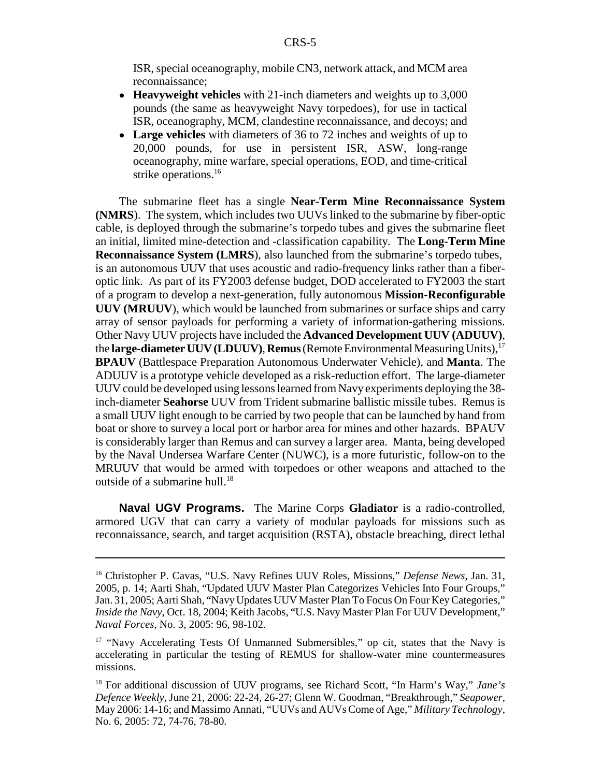ISR, special oceanography, mobile CN3, network attack, and MCM area reconnaissance;

- ! **Heavyweight vehicles** with 21-inch diameters and weights up to 3,000 pounds (the same as heavyweight Navy torpedoes), for use in tactical ISR, oceanography, MCM, clandestine reconnaissance, and decoys; and
- ! **Large vehicles** with diameters of 36 to 72 inches and weights of up to 20,000 pounds, for use in persistent ISR, ASW, long-range oceanography, mine warfare, special operations, EOD, and time-critical strike operations.<sup>16</sup>

The submarine fleet has a single **Near-Term Mine Reconnaissance System (NMRS**). The system, which includes two UUVs linked to the submarine by fiber-optic cable, is deployed through the submarine's torpedo tubes and gives the submarine fleet an initial, limited mine-detection and -classification capability. The **Long-Term Mine Reconnaissance System (LMRS**), also launched from the submarine's torpedo tubes, is an autonomous UUV that uses acoustic and radio-frequency links rather than a fiberoptic link. As part of its FY2003 defense budget, DOD accelerated to FY2003 the start of a program to develop a next-generation, fully autonomous **Mission-Reconfigurable UUV (MRUUV**), which would be launched from submarines or surface ships and carry array of sensor payloads for performing a variety of information-gathering missions. Other Navy UUV projects have included the **Advanced Development UUV (ADUUV)**, the **large-diameter UUV (LDUUV)**, **Remus** (Remote Environmental Measuring Units),17 **BPAUV** (Battlespace Preparation Autonomous Underwater Vehicle), and **Manta**. The ADUUV is a prototype vehicle developed as a risk-reduction effort. The large-diameter UUV could be developed using lessons learned from Navy experiments deploying the 38 inch-diameter **Seahorse** UUV from Trident submarine ballistic missile tubes. Remus is a small UUV light enough to be carried by two people that can be launched by hand from boat or shore to survey a local port or harbor area for mines and other hazards. BPAUV is considerably larger than Remus and can survey a larger area. Manta, being developed by the Naval Undersea Warfare Center (NUWC), is a more futuristic, follow-on to the MRUUV that would be armed with torpedoes or other weapons and attached to the outside of a submarine hull.<sup>18</sup>

**Naval UGV Programs.** The Marine Corps **Gladiator** is a radio-controlled, armored UGV that can carry a variety of modular payloads for missions such as reconnaissance, search, and target acquisition (RSTA), obstacle breaching, direct lethal

<sup>16</sup> Christopher P. Cavas, "U.S. Navy Refines UUV Roles, Missions," *Defense News*, Jan. 31, 2005, p. 14; Aarti Shah, "Updated UUV Master Plan Categorizes Vehicles Into Four Groups," Jan. 31, 2005; Aarti Shah, "Navy Updates UUV Master Plan To Focus On Four Key Categories," *Inside the Navy*, Oct. 18, 2004; Keith Jacobs, "U.S. Navy Master Plan For UUV Development," *Naval Forces*, No. 3, 2005: 96, 98-102.

<sup>&</sup>lt;sup>17</sup> "Navy Accelerating Tests Of Unmanned Submersibles," op cit, states that the Navy is accelerating in particular the testing of REMUS for shallow-water mine countermeasures missions.

<sup>18</sup> For additional discussion of UUV programs, see Richard Scott, "In Harm's Way," *Jane's Defence Weekly*, June 21, 2006: 22-24, 26-27; Glenn W. Goodman, "Breakthrough," *Seapower*, May 2006: 14-16; and Massimo Annati, "UUVs and AUVs Come of Age," *Military Technology*, No. 6, 2005: 72, 74-76, 78-80.